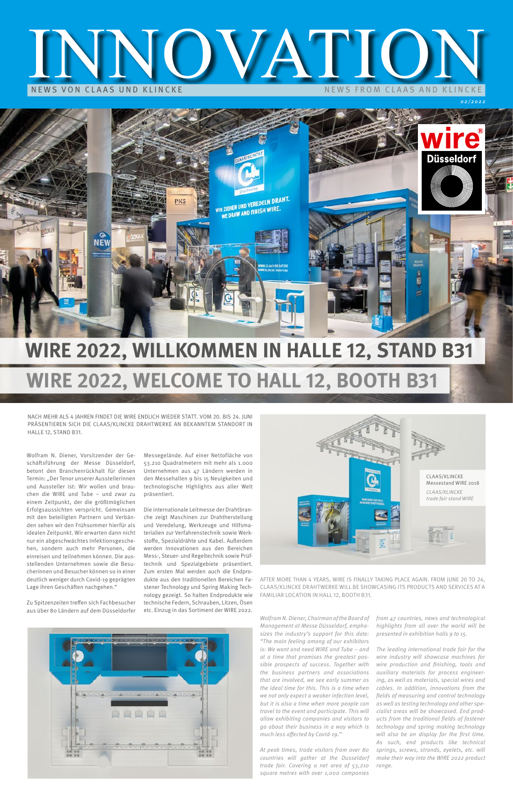02/2022

Wolfram N. Diener, Vorsitzender der Geschäftsführung der Messe Düsseldorf, betont den Branchenrückhalt für diesen Termin: "Der Tenor unserer Ausstellerinnen und Aussteller ist: Wir wollen und brauchen die WIRE und Tube – und zwar zu einem Zeitpunkt, der die größtmöglichen Erfolgsaussichten verspricht. Gemeinsam mit den beteiligten Partnern und Verbänden sehen wir den Frühsommer hierfür als idealen Zeitpunkt. Wir erwarten dann nicht nur ein abgeschwächtes Infektionsgeschehen, sondern auch mehr Personen, die einreisen und teilnehmen können. Die ausstellenden Unternehmen sowie die Besucherinnen und Besucher können so in einer deutlich weniger durch Covid-19 geprägten

Lage ihren Geschäften nachgehen."

Zu Spitzenzeiten treffen sich Fachbesucher aus über 80 Ländern auf dem Düsseldorfer



Messegelände. Auf einer Nettofläche von 53.210 Quadratmetern mit mehr als 1.000 Unternehmen aus 47 Ländern werden in den Messehallen 9 bis 15 Neuigkeiten und technologische Highlights aus aller Welt präsentiert.

Die internationale Leitmesse der Drahtbranche zeigt Maschinen zur Drahtherstellung und Veredelung, Werkzeuge und Hilfsmaterialien zur Verfahrenstechnik sowie Werkstoffe, Spezialdrähte und Kabel. Außerdem werden Innovationen aus den Bereichen Mess-, Steuer- und Regeltechnik sowie Prüftechnik und Spezialgebiete präsentiert. Zum ersten Mal werden auch die Endprodukte aus den traditionellen Bereichen Fastener Technology und Spring Making Technology gezeigt. So halten Endprodukte wie technische Federn, Schrauben, Litzen, Ösen etc. Einzug in das Sortiment der WIRE 2022.

> Wolfram N. Diener, Chairman of the Board of Management at Messe Düsseldorf, emphasizes the industry's support for this date: "The main feeling among of our exhibitors is: We want and need WIRE and Tube – and at a time that promises the greatest possible prospects of success. Together with the business partners and associations that are involved, we see early summer as the ideal time for this. This is a time when we not only expect a weaker infection level, but it is also a time when more people can travel to the event and participate. This will allow exhibiting companies and visitors to go about their business in a way which is much less affected by Covid-19."

At peak times, trade visitors from over 80 countries will gather at the Dusseldorf trade fair. Covering a net area of 53,210 square metres with over 1,000 companies

from 47 countries, news and technological highlights from all over the world will be presented in exhibition halls 9 to 15.

The leading international trade fair for the wire industry will showcase machines for wire production and finishing, tools and auxiliary materials for process engineering, as well as materials, special wires and cables. In addition, innovations from the fields of measuring and control technology as well as testing technology and other specialist areas will be showcased. End products from the traditional fields of fastener technology and spring making technology will also be on display for the first time. As such, end products like technical springs, screws, strands, eyelets, etc. will make their way into the WIRE 2022 product range.

# NEWS VON CLAAS UND KLINCKE NEWS VON CLAAS UND KLINCKE



# **WIRE 2022, WILLKOMMEN IN HALLE 12, STAND B31 WIRE 2022, WELCOME TO HALL 12, BOOTH B31**

NACH MEHR ALS 4 JAHREN FINDET DIE WIRE ENDLICH WIEDER STATT. VOM 20. BIS 24. JUNI PRÄSENTIEREN SICH DIE CLAAS/KLINCKE DRAHTWERKE AN BEKANNTEM STANDORT IN HALLE 12, STAND B31.

AFTER MORE THAN 4 YEARS, WIRE IS FINALLY TAKING PLACE AGAIN. FROM JUNE 20 TO 24,

CLAAS/KLINCKE DRAHTWERKE WILL BE SHOWCASING ITS PRODUCTS AND SERVICES AT A FAMILIAR LOCATION IN HALL 12, BOOTH B31.

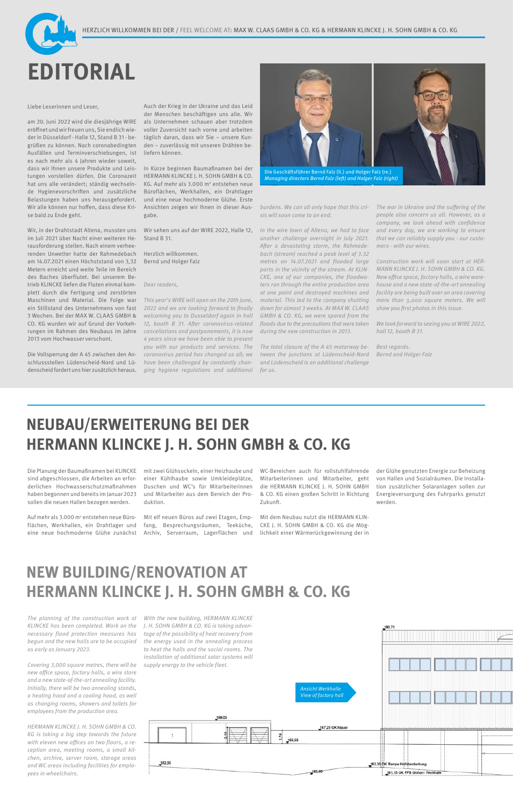

#### Liebe Leserinnen und Leser,

am 20. Juni 2022 wird die diesjährige WIRE eröffnet und wir freuen uns, Sie endlich wieder in Düsseldorf - Halle 12, Stand B 31 - begrüßen zu können. Nach coronabedingten Ausfällen und Terminverschiebungen, ist es nach mehr als 4 Jahren wieder soweit, dass wir Ihnen unsere Produkte und Leistungen vorstellen dürfen. Die Coronazeit hat uns alle verändert; ständig wechselnde Hygienevorschriften und zusätzliche Belastungen haben uns herausgefordert. Wir alle können nur hoffen, dass diese Krise bald zu Ende geht.

Wir, in der Drahtstadt Altena, mussten uns im Juli 2021 über Nacht einer weiteren Herausforderung stellen. Nach einem verheerenden Unwetter hatte der Rahmedebach am 14.07.2021 einen Höchststand von 3,32 Metern erreicht und weite Teile im Bereich des Baches überflutet. Bei unserem Betrieb KLINCKE liefen die Fluten einmal komplett durch die Fertigung und zerstörten Maschinen und Material. Die Folge war ein Stillstand des Unternehmens von fast 3 Wochen. Bei der MAX W. CLAAS GMBH & CO. KG wurden wir auf Grund der Vorkehrungen im Rahmen des Neubaus im Jahre 2013 vom Hochwasser verschont.

Die Vollsperrung der A 45 zwischen den Anschlussstellen Lüdenscheid-Nord und Lüdenscheid fordert uns hier zusätzlich heraus.

Auch der Krieg in der Ukraine und das Leid der Menschen beschäftigen uns alle. Wir als Unternehmen schauen aber trotzdem voller Zuversicht nach vorne und arbeiten täglich daran, dass wir Sie – unsere Kunden – zuverlässig mit unseren Drähten beliefern können.

In Kürze beginnen Baumaßnamen bei der HERMANN KLINCKE J. H. SOHN GMBH & CO. KG. Auf mehr als 3.000 m2 entstehen neue Büroflächen, Werkhallen, ein Drahtlager und eine neue hochmoderne Glühe. Erste Ansichten zeigen wir Ihnen in dieser Ausgabe.

> We look forward to seeing you at WIRE 2022, hall 12, booth B 31.

Wir sehen uns auf der WIRE 2022, Halle 12, Stand B 31.

Herzlich willkommen. Bernd und Holger Falz

Dear readers,

Auf mehr als 3.000 m<sup>2</sup> entstehen neue Büroflächen, Werkhallen, ein Drahtlager und eine neue hochmoderne Glühe zunächst

This year's WIRE will open on the 20th June, 2022 and we are looking forward to finally welcoming you to Dusseldorf again in hall 12, booth B 31. After coronavirus-related cancellations and postponements, it is now 4 years since we have been able to present you with our products and services. The coronavirus period has changed us all; we have been challenged by constantly changing hygiene regulations and additional burdens. We can all only hope that this crisis will soon come to an end.

In the wire town of Altena, we had to face another challenge overnight in July 2021. After a devastating storm, the Rahmedebach (stream) reached a peak level of 3.32 metres on 14.07.2021 and flooded large parts in the vicinity of the stream. At KLIN-CKE, one of our companies, the floodwaters ran through the entire production area at one point and destroyed machines and material. This led to the company shutting down for almost 3 weeks. At MAX W. CLAAS GMBH & CO. KG, we were spared from the floods due to the precautions that were taken during the new construction in 2013.

The total closure of the A 45 motorway between the junctions at Lüdenscheid-Nord and Lüdenscheid is an additional challenge for us.

The war in Ukraine and the suffering of the people also concern us all. However, as a company, we look ahead with confidence and every day, we are working to ensure that we can reliably supply you - our customers - with our wires.

Construction work will soon start at HER-MANN KLINCKE J. H. SOHN GMBH & CO. KG. New office space, factory halls, a wire warehouse and a new state-of-the-art annealing facility are being built over an area covering more than 3,000 square meters. We will show you first photos in this issue.

Best regards. Bernd and Holger Falz

## **NEUBAU/ERWEITERUNG BEI DER HERMANN KLINCKE J. H. SOHN GMBH & CO. KG**

### **NEW BUILDING/RENOVATION AT**

### **HERMANN KLINCKE J. H. SOHN GMBH & CO. KG**

 $\overline{\overline{z}}$ 

162.50



Die Planung der Baumaßnamen bei KLINCKE sind abgeschlossen, die Arbeiten an erforderlichen Hochwasserschutzmaßnahmen haben begonnen und bereits im Januar 2023 sollen die neuen Hallen bezogen werden.

mit zwei Glühsockeln, einer Heizhaube und einer Kühlhaube sowie Umkleideplätze, Duschen und WC's für Mitarbeiterinnen und Mitarbeiter aus dem Bereich der Produktion.

Mit elf neuen Büros auf zwei Etagen, Empfang, Besprechungsräumen, Teeküche, Archiv, Serverraum, Lagerflächen und WC-Bereichen auch für rollstuhlfahrende Mitarbeiterinnen und Mitarbeiter, geht die HERMANN KLINCKE J. H. SOHN GMBH & CO. KG einen großen Schritt in Richtung Zukunft.

Mit dem Neubau nutzt die HERMANN KLIN-CKE J. H. SOHN GMBH & CO. KG die Möglichkeit einer Wärmerückgewinnung der in der Glühe genutzten Energie zur Beheizung von Hallen und Sozialräumen. Die Installation zusätzlicher Solaranlagen sollen zur Energieversorgung des Fuhrparks genutzt werden.

The planning of the construction work at KLINCKE has been completed. Work on the necessary flood protection measures has begun and the new halls are to be occupied as early as January 2023.

Covering 3,000 square metres, there will be new office space, factory halls, a wire store and a new state-of-the-art annealing facility. Initially, there will be two annealing stands, a heating hood and a cooling hood, as well as changing rooms, showers and toilets for employees from the production area.

HERMANN KLINCKE J. H. SOHN GMBH & CO. KG is taking a big step towards the future with eleven new offices on two floors, a reception area, meeting rooms, a small kitchen, archive, server room, storage areas and WC areas including facilities for employees in wheelchairs.

With the new building, HERMANN KLINCKE J. H. SOHN GMBH & CO. KG is taking advantage of the possibility of heat recovery from the energy used in the annealing process to heat the halls and the social rooms. The installation of additional solar systems will supply energy to the vehicle fleet.

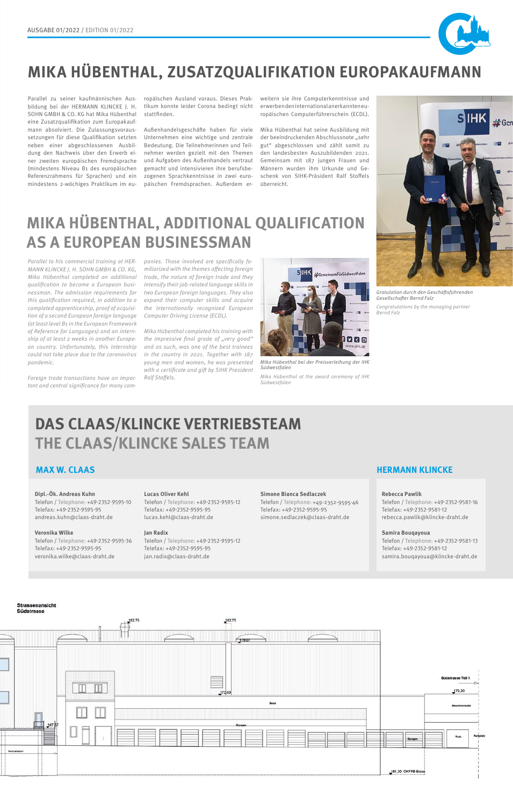

# **MIKA HÜBENTHAL, ZUSATZQUALIFIKATION EUROPAKAUFMANN**



**MIKA HÜBENTHAL, ADDITIONAL QUALIFICATION AS A EUROPEAN BUSINESSMAN**

Parallel zu seiner kaufmännischen Ausbildung bei der HERMANN KLINCKE J. H. SOHN GMBH & CO. KG hat Mika Hübenthal eine Zusatzqualifikation zum Europakaufmann absolviert. Die Zulassungsvoraussetzungen für diese Qualifikation setzten neben einer abgeschlossenen Ausbildung den Nachweis über den Erwerb einer zweiten europäischen Fremdsprache (mindestens Niveau B1 des europäischen Referenzrahmens für Sprachen) und ein mindestens 2-wöchiges Praktikum im eu-

Parallel to his commercial training at HER-MANN KLINCKE J. H. SOHN GMBH & CO. KG, Mika Hübenthal completed an additional qualification to become a European businessman. The admission requirements for this qualification required, in addition to a completed apprenticeship, proof of acquisition of a second European foreign language (at least level B1 in the European Framework of Reference for Languages) and an internship of at least 2 weeks in another European country. Unfortunately, this internship could not take place due to the coronavirus pandemic.

Foreign trade transactions have an important and central significance for many com-

ropäischen Ausland voraus. Dieses Praktikum konnte leider Corona bedingt nicht stattfinden.

Außenhandelsgeschäfte haben für viele Unternehmen eine wichtige und zentrale Bedeutung. Die Teilnehmerinnen und Teilnehmer werden gezielt mit den Themen und Aufgaben des Außenhandels vertraut gemacht und intensivieren ihre berufsbezogenen Sprachkenntnisse in zwei europäischen Fremdsprachen. Außerdem erweitern sie ihre Computerkenntnisse und erwerben den international anerkannten europäischen Computerführerschein (ECDL).

Mika Hübenthal hat seine Ausbildung mit der beeindruckenden Abschlussnote "sehr gut" abgeschlossen und zählt somit zu den landesbesten Auszubildenden 2021. Gemeinsam mit 187 jungen Frauen und Männern wurden ihm Urkunde und Geschenk von SIHK-Präsident Ralf Stoffels überreicht.

panies. Those involved are specifically familiarized with the themes affecting foreign trade, the nature of foreign trade and they intensify their job-related language skills in two European foreign languages. They also expand their computer skills and acquire the internationally recognized European Computer Driving License (ECDL).

Mika Hübenthal completed his training with the impressive final grade of "very good" and as such, was one of the best trainees in the country in 2021. Together with 187 young men and women, he was presented with a certificate and gift by SIHK President Ralf Stoffels.

Gratulation durch den Geschäftsführenden Gesellschafter Bernd Falz

Congratulations by the managing partner Bernd Falz



Mika Hübenthal bei der Preisverleihung der IHK Südwestfalen

Mika Hübenthal at the award ceremony of IHK Südwestfalen

#### **Dipl.-Ök. Andreas Kuhn**

Telefon / Telephone: +49-2352-9595-10 Telefax: +49-2352-9595-95 andreas.kuhn@claas-draht.de

#### **Lucas Oliver Kehl**

Telefon / Telephone: +49-2352-9595-12 Telefax: +49-2352-9595-95 lucas.kehl@claas-draht.de

#### **Rebecca Pawlik**

Telefon / Telephone: +49-2352-9581-16 Telefax: +49-2352-9581-12 rebecca.pawlik@klincke-draht.de

#### **Simone Bianca Sedlaczek**

Telefon / Telephone: +49-2352-9595-46 Telefax: +49-2352-9595-95 simone.sedlaczek@claas-draht.de

#### **Veronika Wilke**

Telefon / Telephone: +49-2352-9595-36 Telefax: +49-2352-9595-95 veronika.wilke@claas-draht.de

#### **Jan Radix**

Telefon / Telephone: +49-2352-9595-12 Telefax: +49-2352-9595-95 jan.radix@claas-draht.de

#### **Samira Bouqayoua**

Telefon / Telephone: +49-2352-9581-13 Telefax: +49-2352-9581-12 samira.bouqayoua@klincke-draht.de



### **DAS CLAAS/KLINCKE VERTRIEBSTEAM THE CLAAS/KLINCKE SALES TEAM**

#### **MAX W. CLAAS HERMANN KLINCKE**